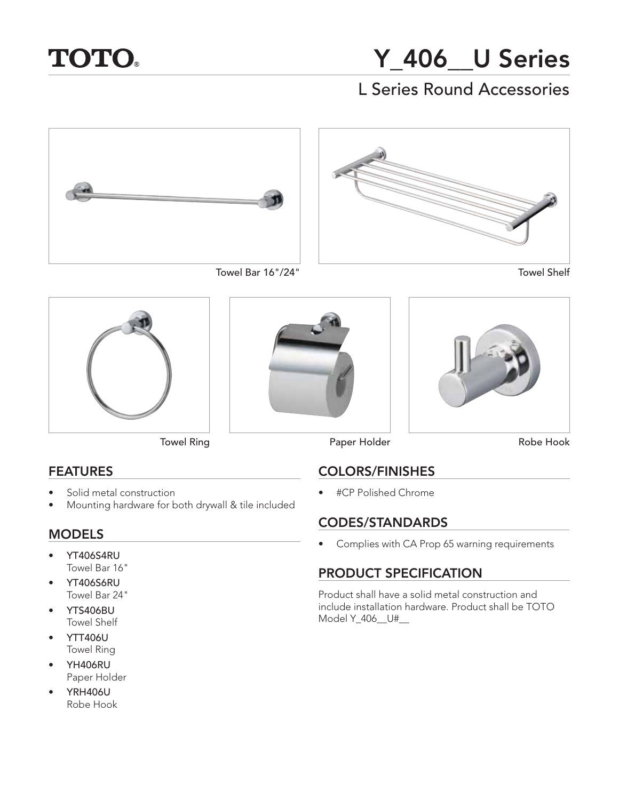

# **Y\_406\_\_U Series** L Series Round Accessories



Towel Bar 16"/24"









## **FEATURES**

- **FEATURES** • Solid metal construction
- Mounting hardware for both drywall & tile included

- **MODELS** • YT406S4RU Towel Bar 16"
- YT406S6RU Towel Bar 24"
- YTS406BU Towel Shelf
- YTT406U Towel Ring
- YH406RU Paper Holder
- YRH406U Robe Hook





Towel Ring **Paper Holder** 

Robe Hook

**COLORS/FINISHES** • #CP Polished Chrome

**CONEXER STANDARDS** • Complies with CA Prop 65 warning requirements

## **PRODUCT SPECIFICATION**

Product shall have a solid metal construction and include installation hardware. Product shall be TOTO Model Y\_406\_\_U#\_\_